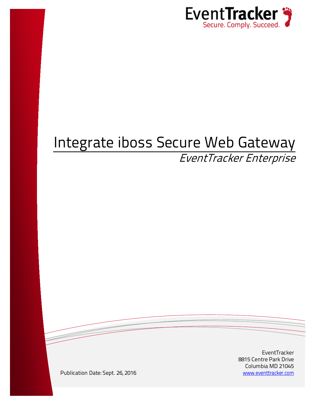

# Integrate iboss Secure Web Gateway EventTracker Enterprise

EventTracker 8815 Centre Park Drive Columbia MD 21045

Publication Date: Sept. 26, 2016 [www.eventtracker.com](http://www.eventtracker.com/)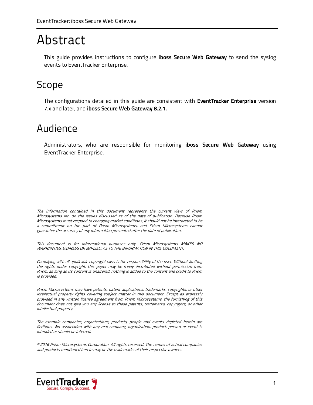## <span id="page-1-0"></span>Abstract

This guide provides instructions to configure **iboss Secure Web Gateway** to send the syslog events to EventTracker Enterprise.

### <span id="page-1-1"></span>Scope

The configurations detailed in this guide are consistent with **EventTracker Enterprise** version 7.x and later, and **iboss Secure Web Gateway 8.2.1.**

### <span id="page-1-2"></span>Audience

Administrators, who are responsible for monitoring **iboss Secure Web Gateway** using EventTracker Enterprise.

The information contained in this document represents the current view of Prism Microsystems Inc. on the issues discussed as of the date of publication. Because Prism Microsystems must respond to changing market conditions, it should not be interpreted to be a commitment on the part of Prism Microsystems, and Prism Microsystems cannot guarantee the accuracy of any information presented after the date of publication.

This document is for informational purposes only. Prism Microsystems MAKES NO WARRANTIES, EXPRESS OR IMPLIED, AS TO THE INFORMATION IN THIS DOCUMENT.

Complying with all applicable copyright laws is the responsibility of the user. Without limiting the rights under copyright, this paper may be freely distributed without permission from Prism, as long as its content is unaltered, nothing is added to the content and credit to Prism is provided.

Prism Microsystems may have patents, patent applications, trademarks, copyrights, or other intellectual property rights covering subject matter in this document. Except as expressly provided in any written license agreement from Prism Microsystems, the furnishing of this document does not give you any license to these patents, trademarks, copyrights, or other intellectual property.

The example companies, organizations, products, people and events depicted herein are fictitious. No association with any real company, organization, product, person or event is intended or should be inferred.

© 2016 Prism Microsystems Corporation. All rights reserved. The names of actual companies and products mentioned herein may be the trademarks of their respective owners.

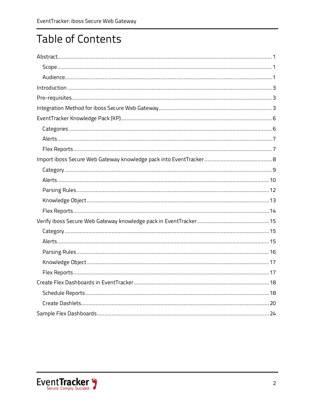## **Table of Contents**

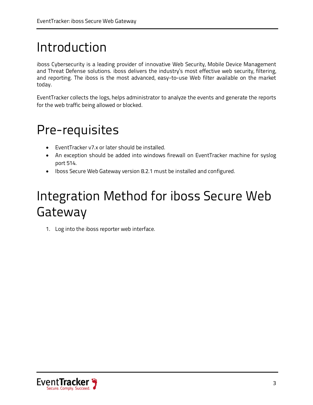# <span id="page-3-0"></span>Introduction

iboss Cybersecurity is a leading provider of innovative Web Security, Mobile Device Management and Threat Defense solutions. iboss delivers the industry's most effective web security, filtering, and reporting. The iboss is the most advanced, easy-to-use Web filter available on the market today.

EventTracker collects the logs, helps administrator to analyze the events and generate the reports for the web traffic being allowed or blocked.

# <span id="page-3-1"></span>Pre-requisites

- EventTracker v7.x or later should be installed.
- An exception should be added into windows firewall on EventTracker machine for syslog port 514.
- Iboss Secure Web Gateway version 8.2.1 must be installed and configured.

# <span id="page-3-2"></span>Integration Method for iboss Secure Web Gateway

1. Log into the iboss reporter web interface.

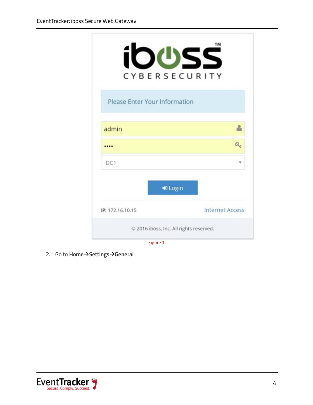| ㄱ                             | ΤM<br>$\blacktriangle$<br>CYBERSECURITY |
|-------------------------------|-----------------------------------------|
| Please Enter Your Information |                                         |
| admin                         |                                         |
|                               |                                         |
| DC1                           |                                         |
|                               | D Login                                 |
| IP: 172.16.10.15              | <b>Internet Access</b>                  |
|                               | @ 2016 iboss, Inc. All rights reserved. |
| Figure 1                      |                                         |

2. Go to **Home > Settings > General** 

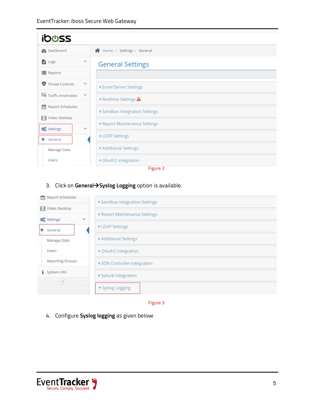| <b>ibuss</b>                                   |                                    |
|------------------------------------------------|------------------------------------|
| <b>B</b> Dashboard                             | <b>谷</b> Home > Settings > General |
| <b>自</b> Logs<br>$\checkmark$                  | <b>General Settings</b>            |
| <b>i</b> Reports                               |                                    |
| Threat Controls<br>$\checkmark$                | Email Server Settings              |
| Traffic Anomalies<br>$\checkmark$              | ▶ Realtime Settings A              |
| Report Schedules                               | ▶ Sandbox Integration Settings     |
| Video Desktop                                  | Report Maintenance Settings        |
| <b>C</b> <sup>8</sup> Settings<br>$\checkmark$ | ▶ LDAP Settings                    |
| ۰<br>General<br>Manage Data                    | Additional Settings                |
| <b>Users</b>                                   | ▶ OAuth2 Integration               |
|                                                | Figure 2                           |

3. Click on **GeneralSyslog Logging** option is available.

| Report Schedules         | Sandbox Integration Settings |
|--------------------------|------------------------------|
| Video Desktop            |                              |
| Settings<br>$\checkmark$ | Report Maintenance Settings  |
| General<br>۰             | <b>LDAP Settings</b>         |
| Manage Data              | Additional Settings          |
| <b>Users</b>             | ▶ OAuth2 Integration         |
| <b>Reporting Groups</b>  | SDN Controller Integration   |
| i System Info            | ▶ Splunk Integration         |
| $(\alpha)$               | · Syslog Logging             |
|                          |                              |

Figure 3

4. Configure **Syslog logging** as given below**:**

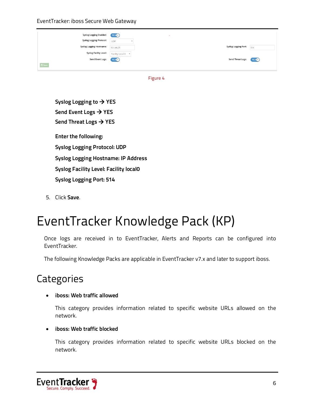EventTracker: iboss Secure Web Gateway

| Syslog Logging Enabled:  | YES                |                          |                    |
|--------------------------|--------------------|--------------------------|--------------------|
| Syslog Logging Protocol: | <b>UDP</b>         |                          |                    |
| Syslog Logging Hostname: | 10.1.44.25         | Syslog Logging Port:     | 514                |
| Syslog Facility Level:   | Facility Local 0 v |                          |                    |
| Send Event Logs:         | <b>YES</b>         | <b>Send Threat Logs:</b> | YES <sup>(1)</sup> |
| <b>E</b> Save            |                    |                          |                    |

Figure 4

**Syslog Logging to YES** Send Event Logs → YES **Send Threat Logs → YES Enter the following: Syslog Logging Protocol: UDP Syslog Logging Hostname: IP Address Syslog Facility Level: Facility local0 Syslog Logging Port: 514**

5. Click **Save**.

# <span id="page-6-0"></span>EventTracker Knowledge Pack (KP)

Once logs are received in to EventTracker, Alerts and Reports can be configured into EventTracker.

The following Knowledge Packs are applicable in EventTracker v7.x and later to support iboss.

### <span id="page-6-1"></span>**Categories**

### • **iboss: Web traffic allowed**

This category provides information related to specific website URLs allowed on the network.

### • **iboss: Web traffic blocked**

This category provides information related to specific website URLs blocked on the network.

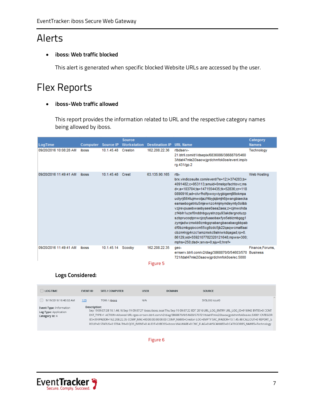### <span id="page-7-0"></span>Alerts

### • **iboss: Web traffic blocked**

This alert is generated when specific blocked Website URLs are accessed by the user.

### <span id="page-7-1"></span>Flex Reports

#### • **iboss-Web traffic allowed**

This report provides the information related to URL and the respective category names being allowed by iboss.

| LogTime                | Computer | Source IP  | Source<br>Workstation | <b>Destination IP</b>     | <b>URL Name</b>                                                                                                                                                                                                                                                                                                                                                                                                                                                                                                                                                                                                                                   | Category<br><b>Names</b> |
|------------------------|----------|------------|-----------------------|---------------------------|---------------------------------------------------------------------------------------------------------------------------------------------------------------------------------------------------------------------------------------------------------------------------------------------------------------------------------------------------------------------------------------------------------------------------------------------------------------------------------------------------------------------------------------------------------------------------------------------------------------------------------------------------|--------------------------|
| 09/20/2016 10:08:28 AM | iboss    | 10.1.45.48 | Creston               | 162.208.22.36             | rtbdserv-<br>21.btrll.com/d1/dsepix/6836086/3868870/5460<br>3/tdat47mle2i3saowjgrdchmfok0oe/event.imp/o<br>ra.431/ap.2                                                                                                                                                                                                                                                                                                                                                                                                                                                                                                                            | Technology               |
| 09/20/2016 11:49:41 AM | iboss    | 10 1 45 48 | Crest                 | 63 135 90 165             | $r$ <sub>th</sub><br>brx.vindicosuite.com/event/?e=12;l=374203;b=<br>4091482;c=953113;smuid=0melgofachtovc;ms<br>d=;a=103704;ta=1471554435;tk=52836;cr=118<br>0890916;ad=clvrfhdfpwoyviyqbiqemj99okmpa<br>uctyrji564tujmwoljazf4byjiqbmjh6ijwangbiaecka<br>eamaebogetntu5mjewnzc4mjmymdeymty0olibb<br>vzjrevpuaebwaebyaee0aea2aea;z=cjmwohda<br>zf4bih1uzef0nddnbguystnzqu93akdsrgnotuzp<br>szbprucogtpnwcjcgfuaaobaxfyo5eblzmbggg1<br>zymiadwzmxkb9zmbqqnabanqbaoabaoqbbpab<br>df0bzmbqqioccm55cq9zdc5jb22qaqwcmal6aai<br>cbzm4njq4nzc1amzmxkc9alniwkdqaqad;rp=0.<br>86129;xid=5592107782320121648;mpws=300;<br>mphs=250;dsd=;snvs=0;sju=0;href= | Web Hosting              |
| 09/20/2016 11:49:41 AM | iboss    | 10.1.45.14 | Scooby                | 162.208.22.35<br>Figure 5 | geo-<br>errserv.btrll.com/v2/diag/3868870/0/54603/570 Business<br>721/tdat47mle2i3saowjgrdchmfok0oe/ec.5000                                                                                                                                                                                                                                                                                                                                                                                                                                                                                                                                       | Finance, Forums,         |

### **Logs Considered:**

| $\Box$ LOG TIME                                                           | <b>EVENT ID</b> | <b>SITE / COMPUTER</b> | <b>USER</b> | <b>DOMAIN</b> | <b>SOURCE</b>                                                                                                                                                                                                                                                                                                                                                                                                                                                                                                                        |  |
|---------------------------------------------------------------------------|-----------------|------------------------|-------------|---------------|--------------------------------------------------------------------------------------------------------------------------------------------------------------------------------------------------------------------------------------------------------------------------------------------------------------------------------------------------------------------------------------------------------------------------------------------------------------------------------------------------------------------------------------|--|
| $\Box$ 9/19/2016 10:40:02 AM                                              | 123             | TOM / iboss            | N/A         |               | SYSLOG local0                                                                                                                                                                                                                                                                                                                                                                                                                                                                                                                        |  |
| <b>Event Type: Information</b><br>Log Type: Application<br>Category Id: 4 | Description:    |                        |             |               | Sep 19 09:07:28 10.1.44.16 Sep 19 09:07:27 iboss.iboss.local Thu Sep 19 09:07:22 EDT 2016 URL LOG ENTRY URL LOG ID=916942 BYTES=0 CONT<br>ENT_TYPE=1 ACTION=Allowed URL=geo-errserv.btrll.com/v2/diag/3868870/0/54603/570721/tdat47mle2i3saowjgrdchmfok0oe/ec.50001 CATEGOR<br>IES=39 IPADDR=162.208.22.35 COMP MAC=00:00:00:00:00:00 COMP NAME=Creston LOC=EMPTY SRC IPADDR=10.1.45.48 CALLOUT=0 REPORT G<br>ROUP=0 STATUS=0 STEALTH=0 QOS EVENT=0 AUDIT=0 IBOSS=iboss MALWARE=0 CNC FLAG=0 AVSCANNED=0 CATEGORIES NAMES=Technology |  |

Figure 6

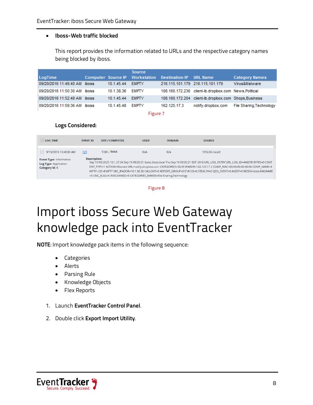#### • **Iboss-Web traffic blocked**

This report provides the information related to URLs and the respective category names being blocked by iboss.

|                              |        |                  | Source       |                                                        |                                                       |                                             |
|------------------------------|--------|------------------|--------------|--------------------------------------------------------|-------------------------------------------------------|---------------------------------------------|
| LogTime                      |        |                  |              | Computer Source IP Workstation Destination IP URL Name |                                                       | <b>Category Names</b>                       |
| 09/20/2016 11:49:40 AM       | iboss  | 10.1.45.44       | <b>EMPTY</b> | 216.115.101.179 216.115.101.179                        |                                                       | Virus&Malware                               |
| 09/20/2016 11:50:30 AM iboss |        | 10.1.38.36 EMPTY |              |                                                        | 108.160.172.236 client-lb.dropbox.com News.Political  |                                             |
| 09/20/2016 11:52:48 AM       | iboss. | 10.1.45.44       | <b>EMPTY</b> |                                                        | 108.160.172.204 client-lb.dropbox.com Shops, Business |                                             |
| 09/20/2016 11:59:36 AM iboss |        | 10 1 45 48       | <b>EMPTY</b> | 162.125.17.3                                           |                                                       | notify.dropbox.com File Sharing, Technology |

Figure 7

### **Logs Considered:**

| $\Box$ LOG TIME                                                                                    | <b>EVENT ID</b>     | <b>SITE / COMPUTER</b>                                                             | <b>USER</b> | <b>DOMAIN</b> | <b>SOURCE</b>                                                                                                                                                                                                                                                                                                                                                                                                          |  |
|----------------------------------------------------------------------------------------------------|---------------------|------------------------------------------------------------------------------------|-------------|---------------|------------------------------------------------------------------------------------------------------------------------------------------------------------------------------------------------------------------------------------------------------------------------------------------------------------------------------------------------------------------------------------------------------------------------|--|
| $\Box$ 9/19/2016 10:40:00 AM<br>Event Type: Information<br>Log Type: Application<br>Category Id: 4 | 123<br>Description: | TOM / iboss<br>=0 CNC_FLAG=0 AVSCANNED=0 CATEGORIES_NAMES=File Sharing, Technology | N/A         | N/A           | SYSLOG local0<br>Sep 19 09:20:25 10.1.37.34 Sep 19 09:20:21 iboss.iboss.local Thu Sep 19 09:20:21 EDT 2016 URL_LOG_ENTRY URL_LOG_ID=446078 BYTES=0 CONT<br>ENT_TYPE=1 ACTION=Blocked URL=notify.dropbox.com CATEGORIES=30,39 IPADDR=162.125.17.3 COMP_MAC=00:00:00:00:00:00:00 COMP_NAME=E<br>MPTY LOC=EMPTY SRC_IPADDR=10.1.38.36 CALLOUT=0 REPORT_GROUP=0 STATUS=0 STEALTH=0 QOS_EVENT=0 AUDIT=0 IBOSS=iboss MALWARE |  |

#### Figure 8

# <span id="page-8-0"></span>Import iboss Secure Web Gateway knowledge pack into EventTracker

**NOTE**: Import knowledge pack items in the following sequence:

- Categories
- Alerts
- Parsing Rule
- Knowledge Objects
- Flex Reports
- 1. Launch **EventTracker Control Panel**.
- 2. Double click **Export Import Utility**.

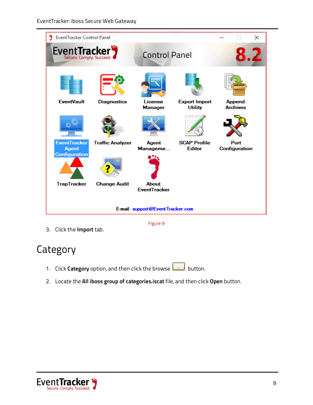

### <span id="page-9-0"></span>**Category**

- 1. Click **Category** option, and then click the browse **button.**
- 2. Locate the **All iboss group of categories.iscat** file, and then click **Open** button.

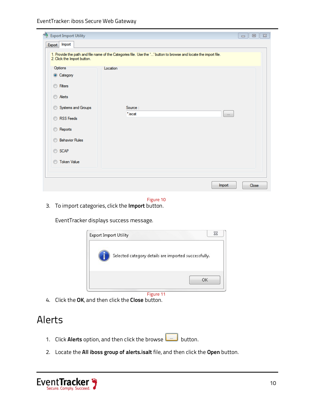| Import<br>Export                     |                                                                                                                   |  |
|--------------------------------------|-------------------------------------------------------------------------------------------------------------------|--|
| 2. Click the Import button.          | 1. Provide the path and file name of the Categories file. Use the "" button to browse and locate the import file. |  |
| Options                              | Location                                                                                                          |  |
| Category                             |                                                                                                                   |  |
| Filters<br>◉                         |                                                                                                                   |  |
| Alerts                               |                                                                                                                   |  |
| Systems and Groups<br>$\circledcirc$ | Source:                                                                                                           |  |
| RSS Feeds                            | *.iscat<br>$\sim$                                                                                                 |  |
| Reports<br>$\circledcirc$            |                                                                                                                   |  |
| <b>Behavior Rules</b><br>œ           |                                                                                                                   |  |
| <b>SCAP</b><br>$\odot$               |                                                                                                                   |  |
| <b>Token Value</b><br>m              |                                                                                                                   |  |
|                                      |                                                                                                                   |  |

#### Figure 10

3. To import categories, click the **Import** button.

EventTracker displays success message.



4. Click the **OK**, and then click the **Close** button.

### <span id="page-10-0"></span>Alerts

- 1. Click **Alerts** option, and then click the browse **button**.
- 2. Locate the **All iboss group of alerts.isalt** file, and then click the **Open** button.

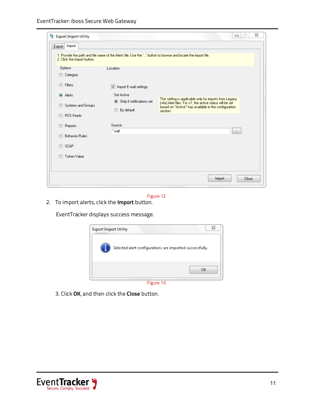| Import<br>Export<br>2. Click the Import button. | 1. Provide the path and file name of the Alerts file. Use the '' button to browse and locate the import file. |                                                                                                                               |
|-------------------------------------------------|---------------------------------------------------------------------------------------------------------------|-------------------------------------------------------------------------------------------------------------------------------|
| Options                                         | Location                                                                                                      |                                                                                                                               |
| Category                                        |                                                                                                               |                                                                                                                               |
| Filters<br>⋒                                    | Import E-mail settings                                                                                        |                                                                                                                               |
| Alerts                                          | Set Active<br>O Only if notifications set                                                                     | This setting is applicable only for imports from Legacy                                                                       |
| Systems and Groups                              | By default<br>∩                                                                                               | (v6x) Alert files. For v7, the active status will be set<br>based on "Active" key available in the configuration.<br>section. |
| <b>RSS Feeds</b>                                |                                                                                                               |                                                                                                                               |
| Reports                                         | Source:                                                                                                       |                                                                                                                               |
| <b>Behavior Rules</b>                           | *.isalt                                                                                                       | $\cdots$                                                                                                                      |
| SCAP<br>⋒                                       |                                                                                                               |                                                                                                                               |
| Token Value                                     |                                                                                                               |                                                                                                                               |
|                                                 |                                                                                                               |                                                                                                                               |

Figure 12

2. To import alerts, click the **Import** button.

EventTracker displays success message.



3. Click **OK**, and then click the **Close** button.

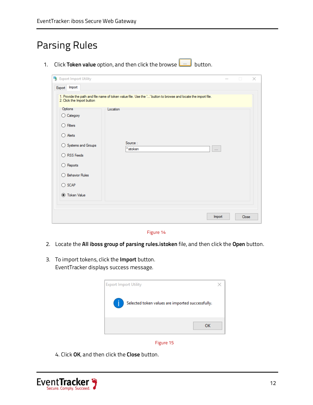## <span id="page-12-0"></span>Parsing Rules

1. Click **Token value** option, and then click the browse **button**.

| Export Import Utility                                                                                     |                                                                                                                | m.    | $\times$ |
|-----------------------------------------------------------------------------------------------------------|----------------------------------------------------------------------------------------------------------------|-------|----------|
| Export Import                                                                                             |                                                                                                                |       |          |
| 2. Click the Import button                                                                                | 1. Provide the path and file name of token value file. Use the '' button to browse and locate the import file. |       |          |
| Options<br>◯ Category<br>$\bigcirc$ Filters<br>$\bigcirc$ Alerts                                          | Location<br>Source:                                                                                            |       |          |
| ◯ Systems and Groups<br>$\bigcirc$ RSS Feeds<br>$\bigcirc$ Reports<br>◯ Behavior Rules<br>$\bigcirc$ SCAP | *.istoken<br>$\ldots$ .                                                                                        |       |          |
| <b>O</b> Token Value                                                                                      | Import                                                                                                         | Close |          |

#### Figure 14

- 2. Locate the **All iboss group of parsing rules.istoken** file, and then click the **Open** button.
- 3. To import tokens, click the **Import** button. EventTracker displays success message.





4. Click **OK**, and then click the **Close** button.

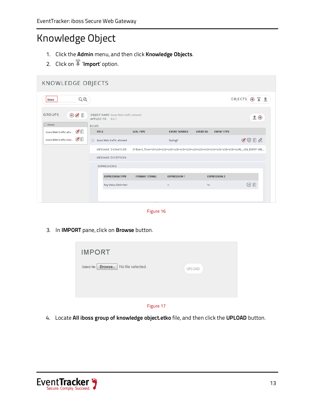## <span id="page-13-0"></span>Knowledge Object

- 1. Click the **Admin** menu, and then click **Knowledge Objects**.
- 2. Click on '**Import**' option.

| KNOWLEDGE OBJECTS                                                                    |                                                           |                      |                     |                                      |                                  |
|--------------------------------------------------------------------------------------|-----------------------------------------------------------|----------------------|---------------------|--------------------------------------|----------------------------------|
| QQ<br>iboss                                                                          |                                                           |                      |                     |                                      | OBJECTS<br>平面<br>⊕               |
| <b>GROUPS</b><br>$\oplus$ 0                                                          | OBJECT NAME iboss Web traffic allowed<br>APPLIES TO 8.2.1 |                      |                     |                                      | 血田                               |
| $\Box$ iboss                                                                         | <b>RULES</b>                                              |                      |                     |                                      |                                  |
| iboss Web traffic allo $\mathscr{C}[\hspace{-0.3ex}[ \blacksquare ]\hspace{-0.3ex}]$ | <b>TITLE</b>                                              | <b>LOG TYPE</b>      | <b>EVENT SOURCE</b> | <b>EVENT ID</b><br><b>EVENT TYPE</b> |                                  |
| iboss Web traffic bloc <b>6</b>                                                      | 田<br>iboss Web traffic allowed                            |                      | Syslog*             |                                      | $\mathscr{O} \odot \mathbb{D}$ 2 |
|                                                                                      | MESSAGE SIGNATURE:                                        |                      |                     |                                      |                                  |
|                                                                                      | MESSAGE EXCEPTION                                         |                      |                     |                                      |                                  |
|                                                                                      | EXPRESSIONS                                               |                      |                     |                                      |                                  |
|                                                                                      |                                                           |                      |                     |                                      |                                  |
|                                                                                      | <b>EXPRESSION TYPE</b>                                    | <b>FORMAT STRING</b> | <b>EXPRESSION 1</b> | <b>EXPRESSION 2</b>                  |                                  |
|                                                                                      | Key Value Delimiter                                       |                      | $=$                 | $\ln$                                | ⊙                                |
|                                                                                      |                                                           |                      |                     |                                      |                                  |
|                                                                                      |                                                           |                      |                     |                                      |                                  |



3. In **IMPORT** pane, click on **Browse** button.

| <b>IMPORT</b>                             |               |
|-------------------------------------------|---------------|
| Browse   No file selected.<br>Select file | <b>UPLOAD</b> |
|                                           |               |



4. Locate **All iboss group of knowledge object.etko** file, and then click the **UPLOAD** button.

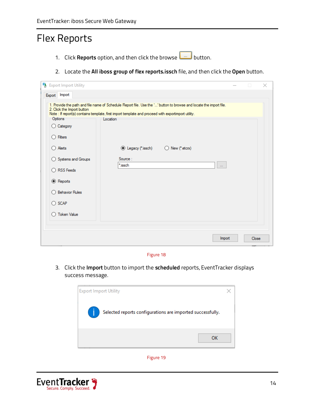### <span id="page-14-0"></span>Flex Reports

- 1. Click **Reports** option, and then click the browse **button**.
- 2. Locate the **All iboss group of flex reports.issch** file, and then click the **Open** button.

| Export Import Utility                                                                                                                                                                                                          |                                |                           |                                                                                                     |                                                                                                                    | × |
|--------------------------------------------------------------------------------------------------------------------------------------------------------------------------------------------------------------------------------|--------------------------------|---------------------------|-----------------------------------------------------------------------------------------------------|--------------------------------------------------------------------------------------------------------------------|---|
| Import<br>Export                                                                                                                                                                                                               |                                |                           |                                                                                                     |                                                                                                                    |   |
| 2. Click the Import button<br>Options<br>◯ Category<br>$\bigcirc$ Filters<br>$\bigcirc$ Alerts<br>◯ Systems and Groups<br>$\bigcirc$ RSS Feeds<br>◉ Reports<br><b>Behavior Rules</b><br><b>SCAP</b><br>∩<br><b>Token Value</b> | Location<br>Source:<br>*.issch | $\bigcirc$ New (*.etcnx)  | $\sim$ $\sim$                                                                                       |                                                                                                                    |   |
|                                                                                                                                                                                                                                |                                |                           | Import                                                                                              | Close                                                                                                              |   |
|                                                                                                                                                                                                                                |                                | <b>C</b> Legacy (*.issch) | Note : If report(s) contains template, first import template and proceed with exportimport utility. | 1. Provide the path and file name of Schedule Report file. Use the '' button to browse and locate the import file. |   |

#### Figure 18

3. Click the **Import** button to import the **scheduled** reports, EventTracker displays success message.



#### Figure 19

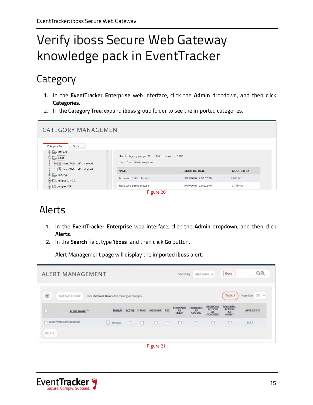# <span id="page-15-0"></span>Verify iboss Secure Web Gateway knowledge pack in EventTracker

## <span id="page-15-1"></span>**Category**

- 1. In the **EventTracker Enterprise** web interface, click the **Admin** dropdown, and then click **Categories**.
- 2. In the **Category Tree**, expand **iboss** group folder to see the imported categories.

| CATEGORY MANAGEMENT                                                                             |                                                                 |                         |                    |
|-------------------------------------------------------------------------------------------------|-----------------------------------------------------------------|-------------------------|--------------------|
| Category Tree<br>Search<br><b>E-C</b> IBM AIX<br>iboss<br>ah.<br>iboss-Web traffic allowed<br>目 | Ò.<br>Total category groups: 361<br>Last 10 modified categories | Total categories: 3,189 |                    |
| iboss-Web traffic blocked                                                                       | <b>NAME</b>                                                     | <b>MODIFIED DATE</b>    | <b>MODIFIED BY</b> |
| + Imperva<br>Juniper JUNOS                                                                      | iboss-Web traffic blocked                                       | 9/19/2016 12:02:57 PM   | <b>ETAdmin</b>     |
| Juniper SBR                                                                                     | iboss-Web traffic allowed                                       | 9/19/2016 12:01:02 PM   | <b>ETAdmin</b>     |

## <span id="page-15-2"></span>Alerts

- 1. In the **EventTracker Enterprise** web interface, click the **Admin** dropdown, and then click **Alerts**.
- 2. In the **Search** field, type '**iboss**', and then click **Go** button.

Alert Management page will display the imported **iboss** alert.

|                | ALERT MANAGEMENT          |                                               |               |        |         |                  | Search by                         | Alert name v                       |                                                          | iboss                                           | QQ                |
|----------------|---------------------------|-----------------------------------------------|---------------|--------|---------|------------------|-----------------------------------|------------------------------------|----------------------------------------------------------|-------------------------------------------------|-------------------|
| $^{\circledR}$ | ACTIVATE NOW              | Click 'Activate Now' after making all changes |               |        |         |                  |                                   |                                    |                                                          | Total: 1                                        | 25.9<br>Page Size |
|                | ALERT NAME <sup>A</sup>   | <b>THREAT</b>                                 | <b>ACTIVE</b> | E-MAIL | MESSAGE | RSS <sub>1</sub> | <b>FORWARD</b><br>$rac{AS}{SNMP}$ | <b>FORWARD</b><br>$\frac{AS}{NSQ}$ | <b>REMEDIAL</b><br><b>ACTION</b><br>AI<br><b>CONSOLE</b> | REMEDIAL<br><b>ACTION</b><br>AT<br><b>AGENT</b> | <b>APPLIES TO</b> |
| <b>DELETE</b>  | iboss-Web traffic blocked | Serious                                       | $\Box$        | 10     | o       | o                | o                                 | п                                  | o                                                        | Ω                                               | 8.2.1             |



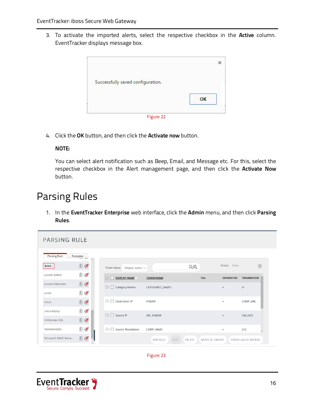3. To activate the imported alerts, select the respective checkbox in the **Active** column. EventTracker displays message box.

|                                   | У  |
|-----------------------------------|----|
| Successfully saved configuration. |    |
|                                   | OK |
| Figure 22                         |    |

4. Click the **OK** button, and then click the **Activate now** button.

#### **NOTE:**

You can select alert notification such as Beep, Email, and Message etc. For this, select the respective checkbox in the Alert management page, and then click the **Activate Now** button.

### <span id="page-16-0"></span>Parsing Rules

1. In the **EventTracker Enterprise** web interface, click the **Admin** menu, and then click **Parsing Rules**.

| PARSING RULE         |                         |                                       |                   |                         |                  |                               |
|----------------------|-------------------------|---------------------------------------|-------------------|-------------------------|------------------|-------------------------------|
| Parsing Rule         | Template                |                                       |                   |                         |                  |                               |
| iboss                | $\mathbb{\hat{D}}$      | Token-Value<br>Display name $\vee$    |                   | QQ                      | Group: iboss     | $\odot$                       |
| Juniper JUNOS        | $\mathbb T$ 0           | $\Box$<br><b>DISPLAY NAME</b>         | <b>TOKEN NAME</b> | <b>TAG</b>              | <b>SEPARATOR</b> | $\wedge$<br><b>TERMINATOR</b> |
| Juniper Netscreen    | $\mathbb{\hat{D}}$      | $\boxplus$<br>Category Names<br>H     | CATEGORIES_NAMES  |                         | $=$              | <b>\n</b>                     |
| Junos                | $\mathbb{D}$ 0          |                                       |                   |                         |                  |                               |
| Linux                | i 0                     | $\boxplus$<br>Destination IP<br>п     | <b>IPADDR</b>     |                         | $\equiv$         | COMP_MAC                      |
| Linux MySQL          | $\mathbb I$ 0           | $\Box$<br>Source IP                   | SRC_IPADDR        |                         | $\equiv$         | CALLOUT                       |
| LOGbinder SQL        | $\mathbb{D}$ 0          |                                       |                   |                         |                  |                               |
| Malwarebytes         | $\mathbb{\mathbb{D}}$ ( | $\boxplus$<br>Source Workstation<br>П | COMP_NAME         |                         | $=$              | LOC<br>$\sim$                 |
| Microsoft DHCP Serve | $\mathbb{\hat{D}}$      |                                       | EDIT<br>ADD RULE  | DELETE<br>MOVE TO GROUP |                  | TOKEN-VALUE WIZARD            |

Figure 23

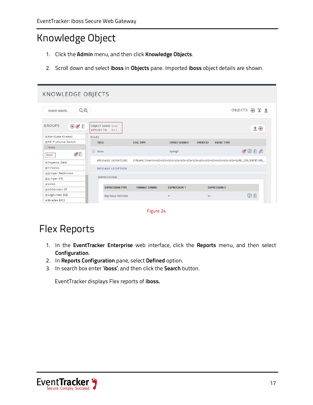## <span id="page-17-0"></span>Knowledge Object

- 1. Click the **Admin** menu, and then click **Knowledge Objects**.
- 2. Scroll down and select **iboss** in **Objects** pane. Imported **iboss** object details are shown.

| KNOWLEDGE OBJECTS                         |                                          |                      |                     |                 |                     |                                        |
|-------------------------------------------|------------------------------------------|----------------------|---------------------|-----------------|---------------------|----------------------------------------|
| QQ<br>Search objects                      |                                          |                      |                     |                 |                     | 写意<br>OBJECTS<br>$\bigoplus$           |
| <b>GROUPS</b><br>$\oplus \textcircled{f}$ | OBJECT NAME iboss<br>APPLIES TO<br>8.2.1 |                      |                     |                 |                     | 盒田                                     |
| <b>FFortiGate Firewall</b>                | <b>RULES</b>                             |                      |                     |                 |                     |                                        |
| <b>HHP ProCurve Switch</b>                | TITLE                                    | <b>LOG TYPE</b>      | <b>EVENT SOURCE</b> | <b>EVENT ID</b> | <b>EVENT TYPE</b>   |                                        |
| Fiboss<br>GÜ<br>iboss                     | $\Box$ iboss                             |                      | Syslog*             |                 |                     | $\mathscr{C} \odot \mathbb{D} \oslash$ |
| Elmperva DAM                              | <b>MESSAGE SIGNATURE:</b>                |                      |                     |                 |                     |                                        |
| Finfoblox                                 | MESSAGE EXCEPTION                        |                      |                     |                 |                     |                                        |
| EJuniper NetScreen                        |                                          |                      |                     |                 |                     |                                        |
| EJuniper OS                               | <b>EXPRESSIONS</b>                       |                      |                     |                 |                     |                                        |
| FiLinux                                   |                                          |                      |                     |                 |                     |                                        |
| FLOGbinder SP                             | <b>EXPRESSION TYPE</b>                   | <b>FORMAT STRING</b> | <b>EXPRESSION 1</b> |                 | <b>EXPRESSION 2</b> |                                        |
| ELogbinder SQL                            | Key Value Delimiter                      |                      | $=$                 | $\ln$           |                     | $\odot$ iii                            |
| <b>HIMcAfee EPO</b>                       |                                          |                      |                     |                 |                     |                                        |

Figure 24

## <span id="page-17-1"></span>Flex Reports

- 1. In the **EventTracker Enterprise** web interface, click the **Reports** menu, and then select **Configuration**.
- 2. In **Reports Configuration** pane, select **Defined** option.
- 3. In search box enter '**iboss'**, and then click the **Search** button.

EventTracker displays Flex reports of **iboss.**

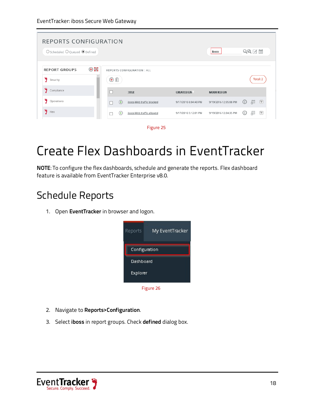| REPORTS CONFIGURATION                                     |    |               |                             |                      |                       |                 |             |
|-----------------------------------------------------------|----|---------------|-----------------------------|----------------------|-----------------------|-----------------|-------------|
| $\bigcirc$ Scheduled $\bigcirc$ Queued $\bigcirc$ Defined |    |               |                             |                      | iboss                 | QQM             |             |
| <b>REPORT GROUPS</b>                                      | 田田 |               | REPORTS CONFIGURATION : ALL |                      |                       |                 |             |
| Security                                                  |    | $\oplus$      |                             |                      |                       |                 | Total: 2    |
| Э.<br>Compliance                                          |    | г             | <b>TITLE</b>                | <b>CREATED ON</b>    | <b>MODIFIED ON</b>    |                 |             |
| Operations                                                |    | $\Sigma$<br>П | iboss-Web traffic blocked   | 9/17/2016 6:04:40 PM | 9/19/2016 12:05:08 PM | 廻<br>$\bigcirc$ | $+$         |
| Э.<br>Flex                                                |    | ΣPS<br>П      | iboss-Web traffic allowed   | 9/17/2016 5:12:01 PM | 9/19/2016 12:04:35 PM | ☞<br>$\odot$    | $\boxed{+}$ |



# <span id="page-18-0"></span>Create Flex Dashboards in EventTracker

**NOTE**: To configure the flex dashboards, schedule and generate the reports. Flex dashboard feature is available from EventTracker Enterprise v8.0.

## <span id="page-18-1"></span>Schedule Reports

1. Open **EventTracker** in browser and logon.



- 2. Navigate to **Reports>Configuration**.
- 3. Select **iboss** in report groups. Check **defined** dialog box.

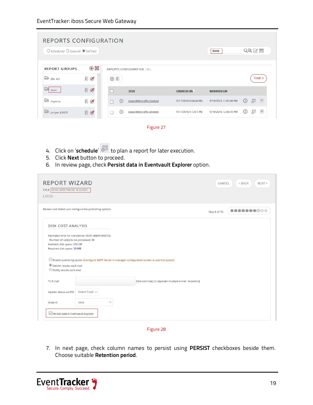| ○ Scheduled ○ Queued ● Defined |                |                       |                             |                      | iboss                 |        | $QQ$ $M$ $\equiv$ |                      |
|--------------------------------|----------------|-----------------------|-----------------------------|----------------------|-----------------------|--------|-------------------|----------------------|
| <b>REPORT GROUPS</b>           | $\bigoplus$    |                       | REPORTS CONFIGURATION : ALL |                      |                       |        |                   |                      |
| $\mathbf{B}_{\text{IBM AIX}}$  | $\mathbb{I}$ 0 | <b>⊕</b>              |                             |                      |                       |        |                   | Total: 2             |
| la<br>iboss                    | i 6            | $\Box$                | <b>TITLE</b>                | <b>CREATED ON</b>    | <b>MODIFIED ON</b>    |        |                   |                      |
| Imperva                        | $\mathbb{R}$   | $\S$ $\triangleright$ | iboss-Web traffic blocked   | 9/17/2016 6:04:40 PM | 9/19/2016 12:05:08 PM | $\cup$ | 廻                 | 圧                    |
| Juniper JUNOS                  | 山区             | 恐                     | iboss-Web traffic allowed   | 9/17/2016 5:12:01 PM | 9/19/2016 12:04:35 PM | $\cup$ | $\delta$          | $\left( \mp \right)$ |



- 4. Click on '**schedule'**  $\overline{\mathbb{S}^n}$  to plan a report for later execution.
- 5. Click **Next** button to proceed.
- 6. In review page, check **Persist data in Eventvault Explorer** option.

| <b>REPORT WIZARD</b><br>TITLE: IBOSS-WEB TRAFFIC BLOCKED<br>LOGS                           |                                                                                                     |                                                       | CANCEL<br>$<$ BACK<br>NEXT |
|--------------------------------------------------------------------------------------------|-----------------------------------------------------------------------------------------------------|-------------------------------------------------------|----------------------------|
|                                                                                            | Review cost details and configure the publishing options.                                           |                                                       | 0000000000<br>Step 8 of 10 |
| DISK COST ANALYSIS<br>Number of cab(s) to be processed: 39<br>Available disk space: 232 GB | Estimated time for completion: 00:01:48(HH:MM:SS)                                                   |                                                       |                            |
| Required disk space: 50 MB                                                                 | Enable publishing option (Configure SMTP Server in manager configuration screen to use this option) |                                                       |                            |
| · Deliver results via E-mail<br>Notify results via E-mail                                  |                                                                                                     |                                                       |                            |
| To E-mail                                                                                  |                                                                                                     | [Use comma(,) to separate multiple e-mail recipients] |                            |
| Update status via RSS                                                                      | Select Feed V                                                                                       |                                                       |                            |
| Show in                                                                                    | $\checkmark$<br>none                                                                                |                                                       |                            |
| Persist data in Eventvault Explorer                                                        |                                                                                                     |                                                       |                            |

Figure 28

7. In next page, check column names to persist using **PERSIST** checkboxes beside them. Choose suitable **Retention period**.

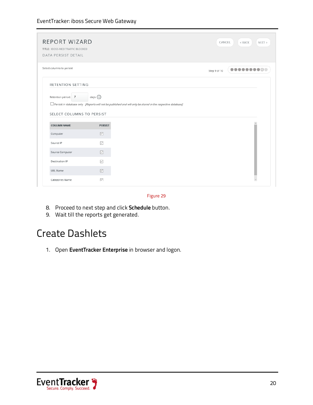| REPORT WIZARD<br>TITLE: IBOSS-WEB TRAFFIC BLOCKED<br>DATA PERSIST DETAIL                    |                                                                                                                                             | CANCEL<br>$<$ BACK<br>NEXT |
|---------------------------------------------------------------------------------------------|---------------------------------------------------------------------------------------------------------------------------------------------|----------------------------|
| Select columns to persist                                                                   |                                                                                                                                             | Step 9 of 10               |
| RETENTION SETTING<br>Retention period: 7<br>SELECT COLUMNS TO PERSIST<br><b>COLUMN NAME</b> | days (i)<br>□ Persist in database only [Reports will not be published and will only be stored in the respective database]<br><b>PERSIST</b> |                            |
| Computer                                                                                    | $\boxed{\vee}$                                                                                                                              |                            |
| Source IP                                                                                   | $\checkmark$                                                                                                                                |                            |
|                                                                                             |                                                                                                                                             |                            |
| Source Computer                                                                             | $\boxed{\vee}$                                                                                                                              |                            |
| Destination IP                                                                              | $\overline{\vee}$                                                                                                                           |                            |
| URL Name                                                                                    | $\overline{\vee}$                                                                                                                           |                            |

Figure 29

- 8. Proceed to next step and click **Schedule** button.
- 9. Wait till the reports get generated.

### <span id="page-20-0"></span>Create Dashlets

1. Open **EventTracker Enterprise** in browser and logon.

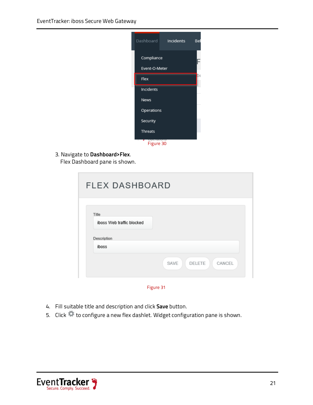

3. Navigate to **Dashboard>Flex**.

Flex Dashboard pane is shown.

| <b>FLEX DASHBOARD</b>                             |                          |
|---------------------------------------------------|--------------------------|
| Title<br>iboss Web traffic blocked<br>Description |                          |
| iboss                                             |                          |
|                                                   | SAVE<br>CANCEL<br>DELETE |

Figure 31

- 4. Fill suitable title and description and click **Save** button.
- 5. Click to configure a new flex dashlet. Widget configuration pane is shown.

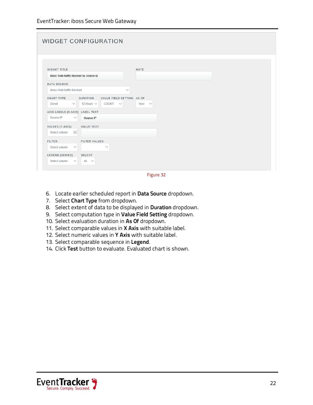| <b>WIDGET CONFIGURATION</b>                                                                                                  |                     |
|------------------------------------------------------------------------------------------------------------------------------|---------------------|
|                                                                                                                              |                     |
| <b>WIDGET TITLE</b>                                                                                                          | NOTE                |
| iboss Web traffic blocked by source ip                                                                                       |                     |
| DATA SOURCE<br>iboss-Web traffic blocked<br>$\checkmark$                                                                     |                     |
| CHART TYPE<br><b>DURATION</b><br>VALUE FIELD SETTING AS OF<br>12 Hours $\vee$<br>$COUNT \quad \lor$<br>Donut<br>$\checkmark$ | Now<br>$\checkmark$ |
| AXIS LABELS [X-AXIS] LABEL TEXT                                                                                              |                     |
| Source IP<br>$\checkmark$<br>Source IP                                                                                       |                     |
| VALUES [Y-AXIS]<br><b>VALUE TEXT</b>                                                                                         |                     |
| $\smallsetminus$<br>Select column                                                                                            |                     |
| <b>FILTER</b><br>FILTER VALUES                                                                                               |                     |
| Select column<br>$\checkmark$<br>$\checkmark$                                                                                |                     |
| LEGEND [SERIES]<br>SELECT<br>Select column<br>$All \quad \vee$<br>$\checkmark$                                               |                     |

Figure 32

- 6. Locate earlier scheduled report in **Data Source** dropdown.
- 7. Select **Chart Type** from dropdown.
- 8. Select extent of data to be displayed in **Duration** dropdown.
- 9. Select computation type in **Value Field Setting** dropdown.
- 10. Select evaluation duration in **As Of** dropdown.
- 11. Select comparable values in **X Axis** with suitable label.
- 12. Select numeric values in **Y Axis** with suitable label.
- 13. Select comparable sequence in **Legend**.
- 14. Click **Test** button to evaluate. Evaluated chart is shown.

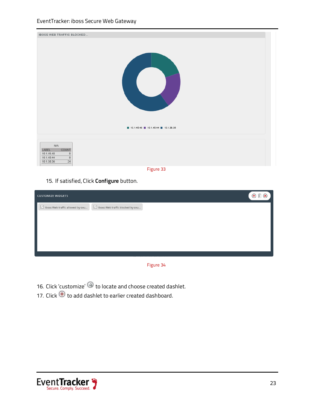| IBOSS WEB TRAFFIC BLOCKED                                                                                                               |  |
|-----------------------------------------------------------------------------------------------------------------------------------------|--|
|                                                                                                                                         |  |
| ■ 10.1.45.48 ■ 10.1.45.44 ■ 10.1.38.36                                                                                                  |  |
| N/A<br>LABEL<br>COUNT<br>10.1.45.48<br>$\rm ^{8}$<br>$\rm ^{8}$<br>10.1.45.44<br>24<br>10.1.38.36<br>and the same state of the state of |  |

Figure 33

15. If satisfied, Click **Configure** button.

| <b>CUSTOMIZE WIDGETS</b>                                |                                                         |   | $^\circledast$<br>$\propto$ |
|---------------------------------------------------------|---------------------------------------------------------|---|-----------------------------|
| $\boxed{\smash{\vee}}$ iboss Web traffic allowed by sou | $\boxed{\smash{\vee}}$ iboss Web traffic blocked by sou |   |                             |
|                                                         |                                                         |   |                             |
|                                                         |                                                         |   |                             |
|                                                         |                                                         |   |                             |
|                                                         |                                                         |   |                             |
|                                                         | $\overline{\phantom{0}}$<br>$-$                         | . |                             |

Figure 34

- 16. Click 'customize' **t**o locate and choose created dashlet.
- 17. Click  $\bigoplus$  to add dashlet to earlier created dashboard.

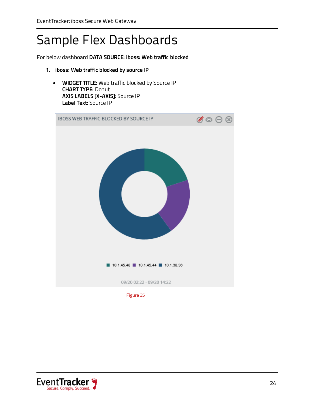# <span id="page-24-0"></span>Sample Flex Dashboards

For below dashboard **DATA SOURCE: iboss: Web traffic blocked**

- **1. iboss: Web traffic blocked by source IP**
	- **WIDGET TITLE:** Web traffic blocked by Source IP **CHART TYPE:** Donut **AXIS LABELS [X-AXIS]:** Source IP **Label Text:** Source IP



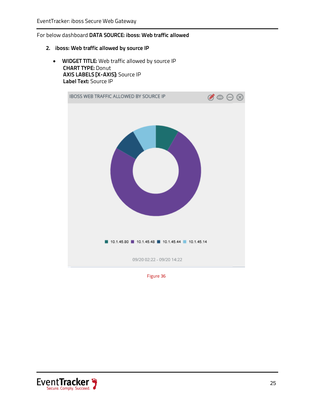### For below dashboard **DATA SOURCE: iboss: Web traffic allowed**

- **2. iboss: Web traffic allowed by source IP**
	- **WIDGET TITLE:** Web traffic allowed by source IP  **CHART TYPE:** Donut  **AXIS LABELS [X-AXIS]:** Source IP  **Label Text:** Source IP



Figure 36

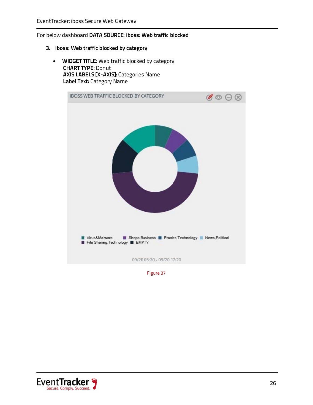### For below dashboard **DATA SOURCE: iboss: Web traffic blocked**

- **3. iboss: Web traffic blocked by category**
	- **WIDGET TITLE:** Web traffic blocked by category  **CHART TYPE:** Donut  **AXIS LABELS [X-AXIS]:** Categories Name  **Label Text:** Category Name



Figure 37